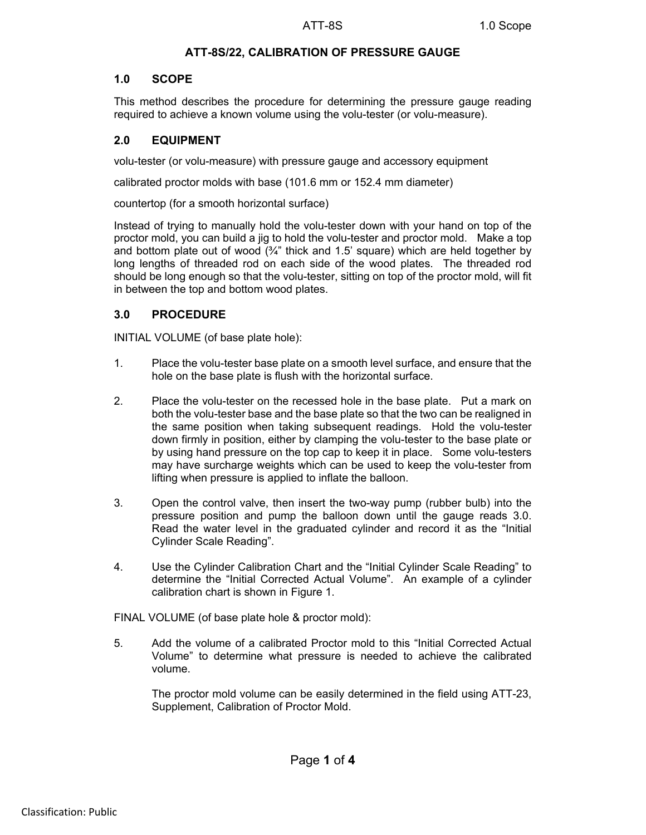# **ATT-8S/22, CALIBRATION OF PRESSURE GAUGE**

### **1.0 SCOPE**

This method describes the procedure for determining the pressure gauge reading required to achieve a known volume using the volu-tester (or volu-measure).

# **2.0 EQUIPMENT**

volu-tester (or volu-measure) with pressure gauge and accessory equipment

calibrated proctor molds with base (101.6 mm or 152.4 mm diameter)

countertop (for a smooth horizontal surface)

Instead of trying to manually hold the volu-tester down with your hand on top of the proctor mold, you can build a jig to hold the volu-tester and proctor mold. Make a top and bottom plate out of wood  $(34)$ " thick and 1.5' square) which are held together by long lengths of threaded rod on each side of the wood plates. The threaded rod should be long enough so that the volu-tester, sitting on top of the proctor mold, will fit in between the top and bottom wood plates.

### **3.0 PROCEDURE**

INITIAL VOLUME (of base plate hole):

- 1. Place the volu-tester base plate on a smooth level surface, and ensure that the hole on the base plate is flush with the horizontal surface.
- 2. Place the volu-tester on the recessed hole in the base plate. Put a mark on both the volu-tester base and the base plate so that the two can be realigned in the same position when taking subsequent readings. Hold the volu-tester down firmly in position, either by clamping the volu-tester to the base plate or by using hand pressure on the top cap to keep it in place. Some volu-testers may have surcharge weights which can be used to keep the volu-tester from lifting when pressure is applied to inflate the balloon.
- 3. Open the control valve, then insert the two-way pump (rubber bulb) into the pressure position and pump the balloon down until the gauge reads 3.0. Read the water level in the graduated cylinder and record it as the "Initial Cylinder Scale Reading".
- 4. Use the Cylinder Calibration Chart and the "Initial Cylinder Scale Reading" to determine the "Initial Corrected Actual Volume". An example of a cylinder calibration chart is shown in Figure 1.

FINAL VOLUME (of base plate hole & proctor mold):

5. Add the volume of a calibrated Proctor mold to this "Initial Corrected Actual Volume" to determine what pressure is needed to achieve the calibrated volume.

The proctor mold volume can be easily determined in the field using ATT-23, Supplement, Calibration of Proctor Mold.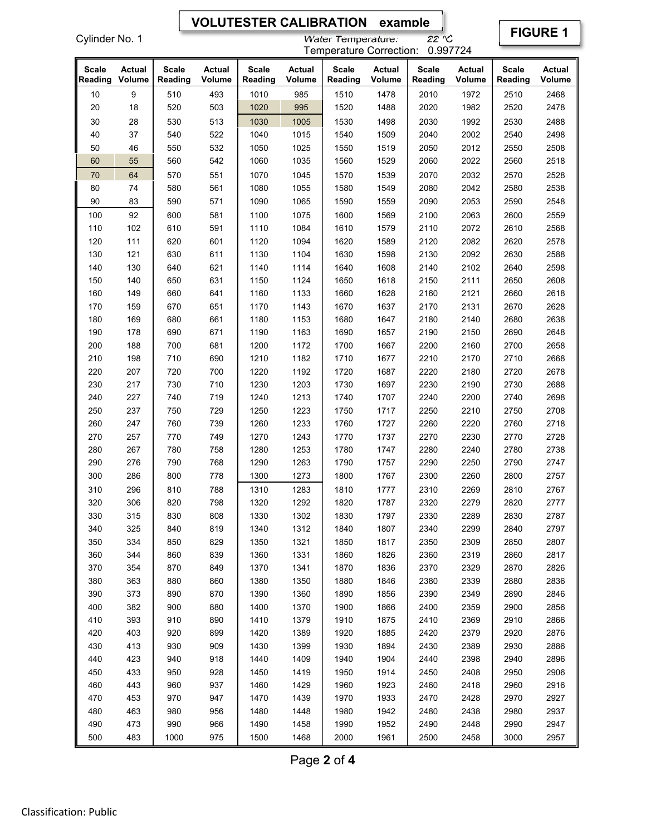# **VOLUTESTER CALIBRATION example**

Cylinder No. 1

### Water Temperature: 22 °C Temperature Correction: 0.997724

**FIGURE 1** 

| <b>Scale</b><br>Reading | Actual<br>Volume | <b>Scale</b><br>Reading | <b>Actual</b><br>Volume | <b>Scale</b><br>Reading | Actual<br>Volume | <b>Scale</b><br>Reading | Actual<br>Volume | Scale<br>Reading | <b>Actual</b><br>Volume | <b>Scale</b><br>Reading | <b>Actual</b><br>Volume |
|-------------------------|------------------|-------------------------|-------------------------|-------------------------|------------------|-------------------------|------------------|------------------|-------------------------|-------------------------|-------------------------|
| 10                      | 9                | 510                     | 493                     | 1010                    | 985              | 1510                    | 1478             | 2010             | 1972                    | 2510                    | 2468                    |
| 20                      | 18               | 520                     | 503                     | 1020                    | 995              | 1520                    | 1488             | 2020             | 1982                    | 2520                    | 2478                    |
| 30                      | 28               | 530                     | 513                     | 1030                    | 1005             | 1530                    | 1498             | 2030             | 1992                    | 2530                    | 2488                    |
| 40                      | 37               | 540                     | 522                     | 1040                    | 1015             | 1540                    | 1509             | 2040             | 2002                    | 2540                    | 2498                    |
| 50                      | 46               | 550                     | 532                     | 1050                    | 1025             | 1550                    | 1519             | 2050             | 2012                    | 2550                    | 2508                    |
| 60                      | 55               | 560                     | 542                     | 1060                    | 1035             | 1560                    | 1529             | 2060             | 2022                    | 2560                    | 2518                    |
| 70                      | 64               | 570                     | 551                     | 1070                    | 1045             | 1570                    | 1539             | 2070             | 2032                    | 2570                    | 2528                    |
| 80                      | 74               | 580                     | 561                     | 1080                    | 1055             | 1580                    | 1549             | 2080             | 2042                    | 2580                    | 2538                    |
| 90                      | 83               | 590                     | 571                     | 1090                    | 1065             | 1590                    | 1559             | 2090             | 2053                    | 2590                    | 2548                    |
| 100                     | 92               | 600                     | 581                     | 1100                    | 1075             | 1600                    | 1569             | 2100             | 2063                    | 2600                    | 2559                    |
| 110                     | 102              | 610                     | 591                     | 1110                    | 1084             | 1610                    | 1579             | 2110             | 2072                    | 2610                    | 2568                    |
| 120                     | 111              | 620                     | 601                     | 1120                    | 1094             | 1620                    | 1589             | 2120             | 2082                    | 2620                    | 2578                    |
| 130                     | 121              | 630                     | 611                     | 1130                    | 1104             | 1630                    | 1598             | 2130             | 2092                    | 2630                    | 2588                    |
| 140                     | 130              | 640                     | 621                     | 1140                    | 1114             | 1640                    | 1608             | 2140             | 2102                    | 2640                    | 2598                    |
| 150                     | 140              | 650                     | 631                     | 1150                    | 1124             | 1650                    | 1618             | 2150             | 2111                    | 2650                    | 2608                    |
| 160                     | 149              | 660                     | 641                     | 1160                    | 1133             | 1660                    | 1628             | 2160             | 2121                    | 2660                    | 2618                    |
| 170                     | 159              | 670                     | 651                     | 1170                    | 1143             | 1670                    | 1637             | 2170             | 2131                    | 2670                    | 2628                    |
| 180                     | 169              | 680                     | 661                     | 1180                    | 1153             | 1680                    | 1647             | 2180             | 2140                    | 2680                    | 2638                    |
| 190                     | 178              | 690                     | 671                     | 1190                    | 1163             | 1690                    | 1657             | 2190             | 2150                    | 2690                    | 2648                    |
| 200                     | 188              | 700                     | 681                     | 1200                    | 1172             | 1700                    | 1667             | 2200             | 2160                    | 2700                    | 2658                    |
| 210                     | 198              | 710                     | 690                     | 1210                    | 1182             | 1710                    | 1677             | 2210             | 2170                    | 2710                    | 2668                    |
| 220                     | 207              | 720                     | 700                     | 1220                    | 1192             | 1720                    | 1687             | 2220             | 2180                    | 2720                    | 2678                    |
| 230                     | 217              | 730                     | 710                     | 1230                    | 1203             | 1730                    | 1697             | 2230             | 2190                    | 2730                    | 2688                    |
| 240                     | 227              | 740                     | 719                     | 1240                    | 1213             | 1740                    | 1707             | 2240             | 2200                    | 2740                    | 2698                    |
| 250                     | 237              | 750                     | 729                     | 1250                    | 1223             | 1750                    | 1717             | 2250             | 2210                    | 2750                    | 2708                    |
| 260                     | 247              | 760                     | 739                     | 1260                    | 1233             | 1760                    | 1727             | 2260             | 2220                    | 2760                    | 2718                    |
| 270                     | 257              | 770                     | 749                     | 1270                    | 1243             | 1770                    | 1737             | 2270             | 2230                    | 2770                    | 2728                    |
| 280                     | 267              | 780                     | 758                     | 1280                    | 1253             | 1780                    | 1747             | 2280             | 2240                    | 2780                    | 2738                    |
| 290                     | 276              | 790                     | 768                     | 1290                    | 1263             | 1790                    | 1757             | 2290             | 2250                    | 2790                    | 2747                    |
| 300                     | 286              | 800                     | 778                     | 1300                    | 1273             | 1800                    | 1767             | 2300             | 2260                    | 2800                    | 2757                    |
| 310                     | 296              | 810                     | 788                     | 1310                    | 1283             | 1810                    | 1777             | 2310             | 2269                    | 2810                    | 2767                    |
| 320                     | 306              | 820                     | 798                     | 1320                    | 1292             | 1820                    | 1787             | 2320             | 2279                    | 2820                    | 2777                    |
| 330                     | 315              | 830                     | 808                     | 1330                    | 1302             | 1830                    | 1797             | 2330             | 2289                    | 2830                    | 2787                    |
| 340                     | 325              | 840                     | 819                     | 1340                    | 1312             | 1840                    | 1807             | 2340             | 2299                    | 2840                    | 2797                    |
| 350                     | 334              | 850                     | 829                     | 1350                    | 1321             | 1850                    | 1817             | 2350             | 2309                    | 2850                    | 2807                    |
| 360                     | 344              | 860                     | 839                     | 1360                    | 1331             | 1860                    | 1826             | 2360             | 2319                    | 2860                    | 2817                    |
| 370                     | 354              | 870                     | 849                     | 1370                    | 1341             | 1870                    | 1836             | 2370             | 2329                    | 2870                    | 2826                    |
| 380                     | 363              | 880                     | 860                     | 1380                    | 1350             | 1880                    | 1846             | 2380             | 2339                    | 2880                    | 2836                    |
| 390                     | 373              | 890                     | 870                     | 1390                    | 1360             | 1890                    | 1856             | 2390             | 2349                    | 2890                    | 2846                    |
| 400                     | 382              | 900                     | 880                     | 1400                    | 1370             | 1900                    | 1866             | 2400             | 2359                    | 2900                    | 2856                    |
| 410                     | 393              | 910                     | 890                     | 1410                    | 1379             | 1910                    | 1875             | 2410             | 2369                    | 2910                    | 2866                    |
| 420                     | 403              | 920                     | 899                     | 1420                    | 1389             | 1920                    | 1885             | 2420             | 2379                    | 2920                    | 2876                    |
| 430                     | 413              | 930                     | 909                     | 1430                    | 1399             | 1930                    | 1894             | 2430             | 2389                    | 2930                    | 2886                    |
| 440                     | 423              | 940                     | 918                     | 1440                    | 1409             | 1940                    | 1904             | 2440             | 2398                    | 2940                    | 2896                    |
| 450                     | 433              | 950                     | 928                     | 1450                    | 1419             | 1950                    | 1914             | 2450             | 2408                    | 2950                    | 2906                    |
| 460                     | 443              | 960                     | 937                     | 1460                    | 1429             | 1960                    | 1923             | 2460             | 2418                    | 2960                    | 2916                    |
| 470                     | 453              | 970                     | 947                     | 1470                    | 1439             | 1970                    | 1933             | 2470             | 2428                    | 2970                    | 2927                    |
| 480                     | 463              | 980                     | 956                     | 1480                    | 1448             | 1980                    | 1942             | 2480             | 2438                    | 2980                    | 2937                    |
| 490                     | 473              | 990                     | 966                     | 1490                    | 1458             | 1990                    | 1952             | 2490             | 2448                    | 2990                    | 2947                    |
| 500                     | 483              | 1000                    | 975                     | 1500                    | 1468             | 2000                    | 1961             | 2500             | 2458                    | 3000                    | 2957                    |

Page **2** of **4**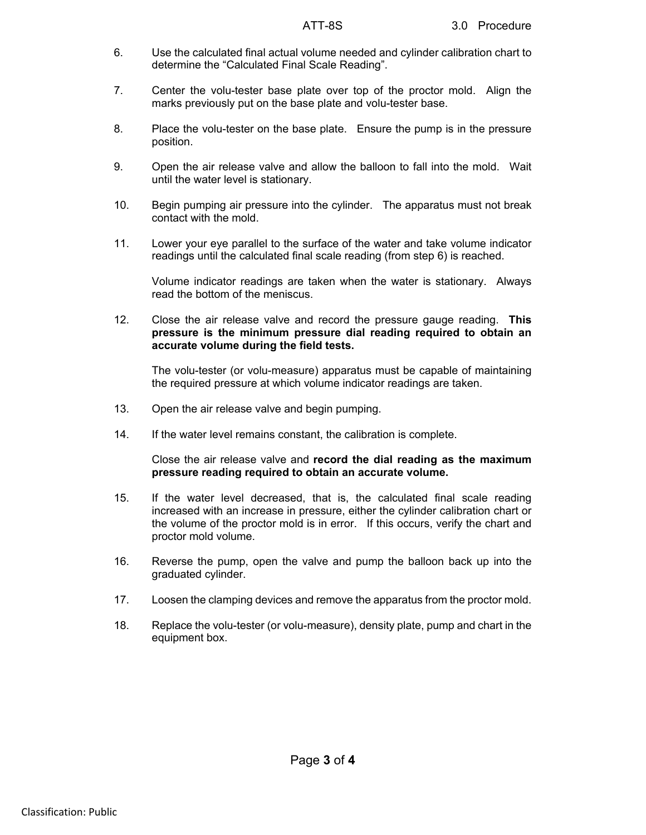- 6. Use the calculated final actual volume needed and cylinder calibration chart to determine the "Calculated Final Scale Reading".
- 7. Center the volu-tester base plate over top of the proctor mold. Align the marks previously put on the base plate and volu-tester base.
- 8. Place the volu-tester on the base plate. Ensure the pump is in the pressure position.
- 9. Open the air release valve and allow the balloon to fall into the mold. Wait until the water level is stationary.
- 10. Begin pumping air pressure into the cylinder. The apparatus must not break contact with the mold.
- 11. Lower your eye parallel to the surface of the water and take volume indicator readings until the calculated final scale reading (from step 6) is reached.

Volume indicator readings are taken when the water is stationary. Always read the bottom of the meniscus.

12. Close the air release valve and record the pressure gauge reading. **This pressure is the minimum pressure dial reading required to obtain an accurate volume during the field tests.** 

The volu-tester (or volu-measure) apparatus must be capable of maintaining the required pressure at which volume indicator readings are taken.

- 13. Open the air release valve and begin pumping.
- 14. If the water level remains constant, the calibration is complete.

Close the air release valve and **record the dial reading as the maximum pressure reading required to obtain an accurate volume.**

- 15. If the water level decreased, that is, the calculated final scale reading increased with an increase in pressure, either the cylinder calibration chart or the volume of the proctor mold is in error. If this occurs, verify the chart and proctor mold volume.
- 16. Reverse the pump, open the valve and pump the balloon back up into the graduated cylinder.
- 17. Loosen the clamping devices and remove the apparatus from the proctor mold.
- 18. Replace the volu-tester (or volu-measure), density plate, pump and chart in the equipment box.